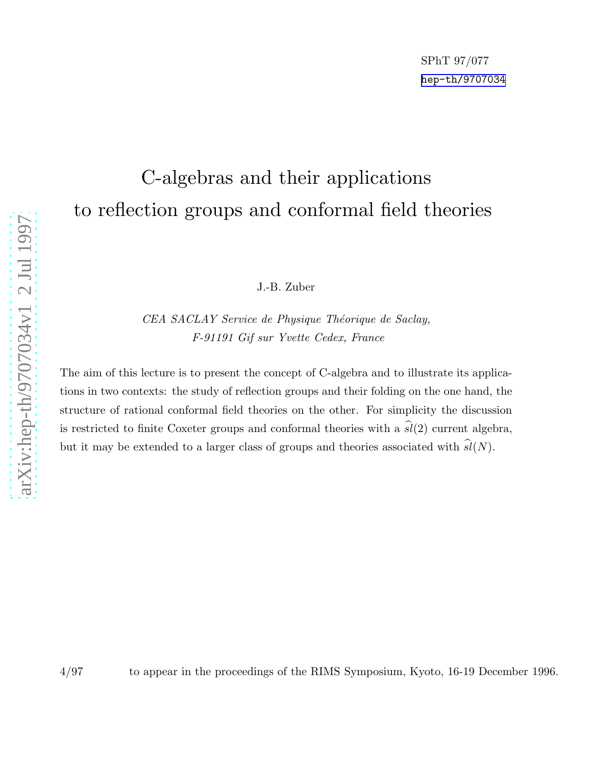# C-algebras and their applications to reflection groups and conformal field theories

J.-B. Zuber

CEA SACLAY Service de Physique Théorique de Saclay, F-91191 Gif sur Yvette Cedex, France

The aim of this lecture is to present the concept of C-algebra and to illustrate its applications in two contexts: the study of reflection groups and their folding on the one hand, the structure of rational conformal field theories on the other. For simplicity the discussion is restricted to finite Coxeter groups and conformal theories with a  $\hat{sl}(2)$  current algebra, but it may be extended to a larger class of groups and theories associated with  $sl(N)$ .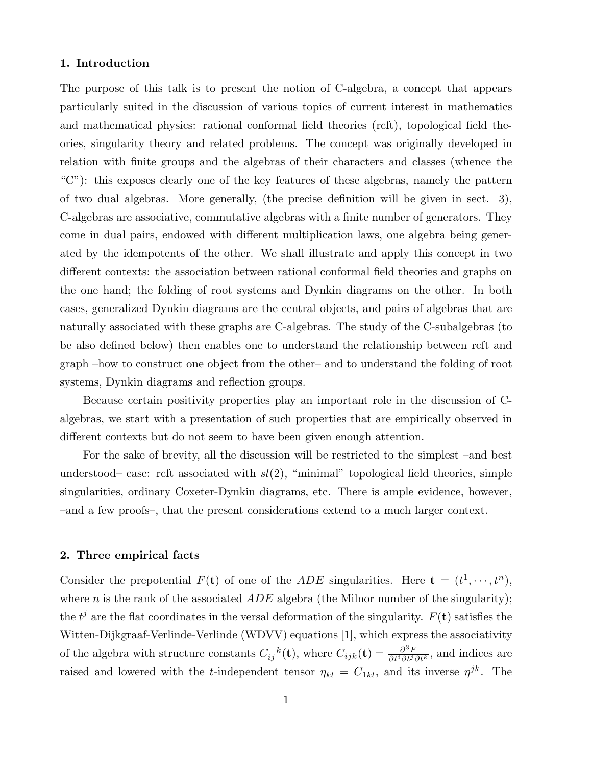# 1. Introduction

The purpose of this talk is to present the notion of C-algebra, a concept that appears particularly suited in the discussion of various topics of current interest in mathematics and mathematical physics: rational conformal field theories (rcft), topological field theories, singularity theory and related problems. The concept was originally developed in relation with finite groups and the algebras of their characters and classes (whence the "C"): this exposes clearly one of the key features of these algebras, namely the pattern of two dual algebras. More generally, (the precise definition will be given in sect. 3), C-algebras are associative, commutative algebras with a finite number of generators. They come in dual pairs, endowed with different multiplication laws, one algebra being generated by the idempotents of the other. We shall illustrate and apply this concept in two different contexts: the association between rational conformal field theories and graphs on the one hand; the folding of root systems and Dynkin diagrams on the other. In both cases, generalized Dynkin diagrams are the central objects, and pairs of algebras that are naturally associated with these graphs are C-algebras. The study of the C-subalgebras (to be also defined below) then enables one to understand the relationship between rcft and graph –how to construct one object from the other– and to understand the folding of root systems, Dynkin diagrams and reflection groups.

Because certain positivity properties play an important role in the discussion of Calgebras, we start with a presentation of such properties that are empirically observed in different contexts but do not seem to have been given enough attention.

For the sake of brevity, all the discussion will be restricted to the simplest –and best understood– case: rcft associated with  $sl(2)$ , "minimal" topological field theories, simple singularities, ordinary Coxeter-Dynkin diagrams, etc. There is ample evidence, however, –and a few proofs–, that the present considerations extend to a much larger context.

## 2. Three empirical facts

Consider the prepotential  $F(\mathbf{t})$  of one of the ADE singularities. Here  $\mathbf{t} = (t^1, \dots, t^n)$ , where n is the rank of the associated  $ADE$  algebra (the Milnor number of the singularity); the  $t^j$  are the flat coordinates in the versal deformation of the singularity.  $F(\mathbf{t})$  satisfies the Witten-Dijkgraaf-Verlinde-Verlinde (WDVV) equations [1], which express the associativity of the algebra with structure constants  $C_{ij}{}^k(\mathbf{t})$ , where  $C_{ijk}(\mathbf{t}) = \frac{\partial^3 F}{\partial t^i \partial t^j \partial t^k}$ , and indices are raised and lowered with the *t*-independent tensor  $\eta_{kl} = C_{1kl}$ , and its inverse  $\eta^{jk}$ . The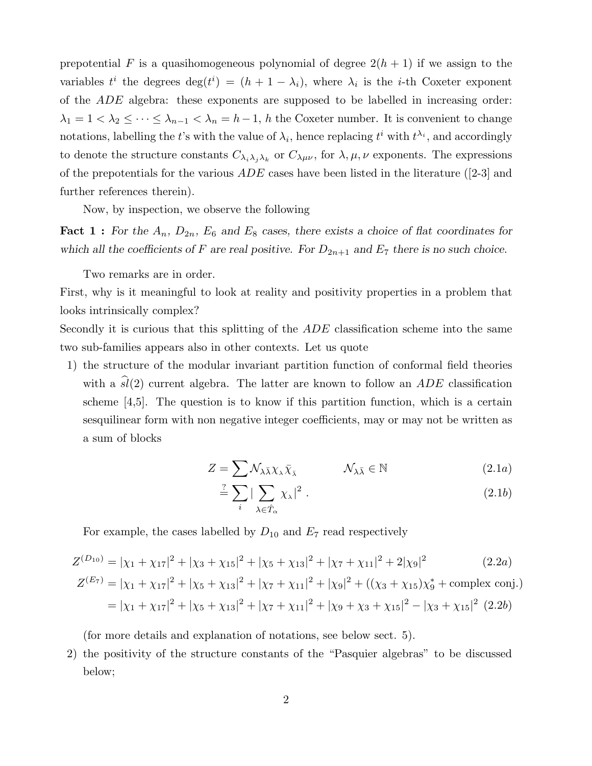prepotential F is a quasihomogeneous polynomial of degree  $2(h + 1)$  if we assign to the variables  $t^i$  the degrees  $\deg(t^i) = (h + 1 - \lambda_i)$ , where  $\lambda_i$  is the *i*-th Coxeter exponent of the ADE algebra: these exponents are supposed to be labelled in increasing order:  $\lambda_1 = 1 < \lambda_2 \leq \cdots \leq \lambda_{n-1} < \lambda_n = h-1$ , h the Coxeter number. It is convenient to change notations, labelling the t's with the value of  $\lambda_i$ , hence replacing  $t^i$  with  $t^{\lambda_i}$ , and accordingly to denote the structure constants  $C_{\lambda_i\lambda_j\lambda_k}$  or  $C_{\lambda\mu\nu}$ , for  $\lambda, \mu, \nu$  exponents. The expressions of the prepotentials for the various  $ADE$  cases have been listed in the literature ([2-3] and further references therein).

Now, by inspection, we observe the following

**Fact 1 :** For the  $A_n$ ,  $D_{2n}$ ,  $E_6$  and  $E_8$  cases, there exists a choice of flat coordinates for which all the coefficients of F are real positive. For  $D_{2n+1}$  and  $E_7$  there is no such choice.

Two remarks are in order.

First, why is it meaningful to look at reality and positivity properties in a problem that looks intrinsically complex?

Secondly it is curious that this splitting of the ADE classification scheme into the same two sub-families appears also in other contexts. Let us quote

1) the structure of the modular invariant partition function of conformal field theories with a  $\hat{sl}(2)$  current algebra. The latter are known to follow an ADE classification scheme [4,5]. The question is to know if this partition function, which is a certain sesquilinear form with non negative integer coefficients, may or may not be written as a sum of blocks

$$
Z = \sum \mathcal{N}_{\lambda \bar{\lambda}} \chi_{\lambda} \bar{\chi}_{\bar{\lambda}} \qquad \qquad \mathcal{N}_{\lambda \bar{\lambda}} \in \mathbb{N} \tag{2.1a}
$$

$$
\stackrel{?}{=} \sum_{i} |\sum_{\lambda \in \hat{T}_{\alpha}} \chi_{\lambda}|^{2} . \tag{2.1b}
$$

For example, the cases labelled by  $D_{10}$  and  $E_7$  read respectively

$$
Z^{(D_{10})} = |\chi_1 + \chi_{17}|^2 + |\chi_3 + \chi_{15}|^2 + |\chi_5 + \chi_{13}|^2 + |\chi_7 + \chi_{11}|^2 + 2|\chi_9|^2
$$
(2.2a)

$$
Z^{(E_7)} = |\chi_1 + \chi_{17}|^2 + |\chi_5 + \chi_{13}|^2 + |\chi_7 + \chi_{11}|^2 + |\chi_9|^2 + ((\chi_3 + \chi_{15})\chi_9^* + \text{complex conj.})
$$
  
=  $|\chi_1 + \chi_{17}|^2 + |\chi_5 + \chi_{13}|^2 + |\chi_7 + \chi_{11}|^2 + |\chi_9 + \chi_3 + \chi_{15}|^2 - |\chi_3 + \chi_{15}|^2$  (2.2b)

(for more details and explanation of notations, see below sect. 5).

2) the positivity of the structure constants of the "Pasquier algebras" to be discussed below;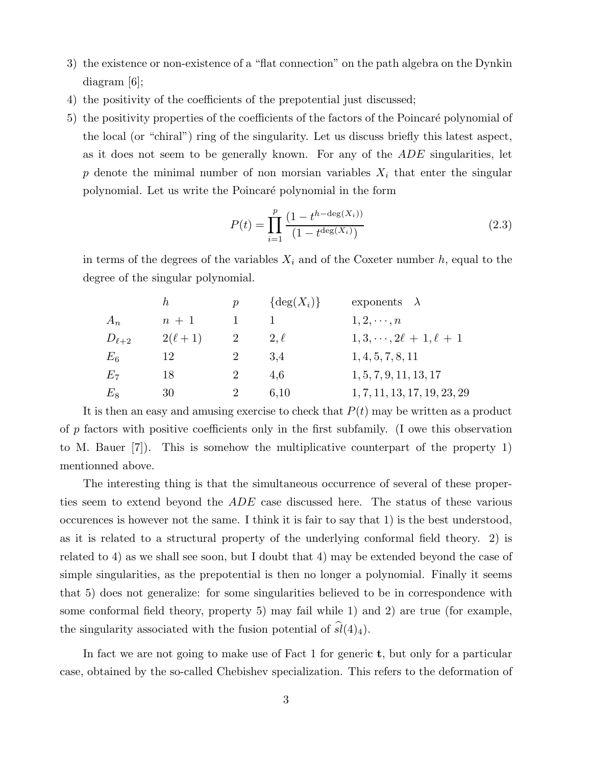- 3) the existence or non-existence of a "flat connection" on the path algebra on the Dynkin diagram [6];
- 4) the positivity of the coefficients of the prepotential just discussed;
- 5) the positivity properties of the coefficients of the factors of the Poincaré polynomial of the local (or "chiral") ring of the singularity. Let us discuss briefly this latest aspect, as it does not seem to be generally known. For any of the ADE singularities, let p denote the minimal number of non morsian variables  $X_i$  that enter the singular polynomial. Let us write the Poincaré polynomial in the form

$$
P(t) = \prod_{i=1}^{p} \frac{(1 - t^{h - \deg(X_i))}}{(1 - t^{\deg(X_i)})}
$$
\n(2.3)

in terms of the degrees of the variables  $X_i$  and of the Coxeter number h, equal to the degree of the singular polynomial.

|              | h,            | $\boldsymbol{v}$ | $\{\deg(X_i)\}\$ | exponents $\lambda$                 |
|--------------|---------------|------------------|------------------|-------------------------------------|
| $A_n$        | $n+1$         |                  |                  | $1, 2, \cdots, n$                   |
| $D_{\ell+2}$ | $2(\ell + 1)$ |                  | $2,\ell$         | $1, 3, \cdots, 2\ell + 1, \ell + 1$ |
| $E_6$        | 12            |                  | 3.4              | 1, 4, 5, 7, 8, 11                   |
| $E_7$        | 18            | 2                | 4.6              | 1, 5, 7, 9, 11, 13, 17              |
| $E_8$        | 30            |                  | 6,10             | 1, 7, 11, 13, 17, 19, 23, 29        |

It is then an easy and amusing exercise to check that  $P(t)$  may be written as a product of p factors with positive coefficients only in the first subfamily. (I owe this observation to M. Bauer [7]). This is somehow the multiplicative counterpart of the property 1) mentionned above.

The interesting thing is that the simultaneous occurrence of several of these properties seem to extend beyond the ADE case discussed here. The status of these various occurences is however not the same. I think it is fair to say that 1) is the best understood, as it is related to a structural property of the underlying conformal field theory. 2) is related to 4) as we shall see soon, but I doubt that 4) may be extended beyond the case of simple singularities, as the prepotential is then no longer a polynomial. Finally it seems that 5) does not generalize: for some singularities believed to be in correspondence with some conformal field theory, property 5) may fail while 1) and 2) are true (for example, the singularity associated with the fusion potential of  $\hat{sl}(4)_4$ .

In fact we are not going to make use of Fact 1 for generic **t**, but only for a particular case, obtained by the so-called Chebishev specialization. This refers to the deformation of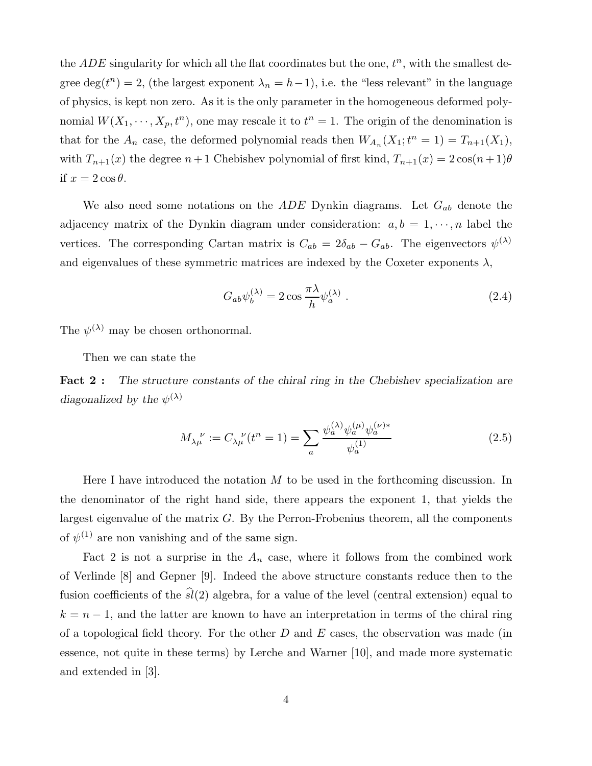the  $ADE$  singularity for which all the flat coordinates but the one,  $t<sup>n</sup>$ , with the smallest degree deg( $t<sup>n</sup>$ ) = 2, (the largest exponent  $\lambda_n = h-1$ ), i.e. the "less relevant" in the language of physics, is kept non zero. As it is the only parameter in the homogeneous deformed polynomial  $W(X_1, \dots, X_p, t^n)$ , one may rescale it to  $t^n = 1$ . The origin of the denomination is that for the  $A_n$  case, the deformed polynomial reads then  $W_{A_n}(X_1; t^n = 1) = T_{n+1}(X_1)$ , with  $T_{n+1}(x)$  the degree  $n+1$  Chebishev polynomial of first kind,  $T_{n+1}(x) = 2\cos((n+1)\theta)$ if  $x = 2 \cos \theta$ .

We also need some notations on the  $ADE$  Dynkin diagrams. Let  $G_{ab}$  denote the adjacency matrix of the Dynkin diagram under consideration:  $a, b = 1, \dots, n$  label the vertices. The corresponding Cartan matrix is  $C_{ab} = 2\delta_{ab} - G_{ab}$ . The eigenvectors  $\psi^{(\lambda)}$ and eigenvalues of these symmetric matrices are indexed by the Coxeter exponents  $\lambda$ ,

$$
G_{ab}\psi_b^{(\lambda)} = 2\cos\frac{\pi\lambda}{h}\psi_a^{(\lambda)}.
$$
\n(2.4)

The  $\psi^{(\lambda)}$  may be chosen orthonormal.

Then we can state the

Fact 2: The structure constants of the chiral ring in the Chebishev specialization are diagonalized by the  $\psi^{(\lambda)}$ 

$$
M_{\lambda\mu}^{\ \nu} := C_{\lambda\mu}^{\ \nu}(t^n = 1) = \sum_{a} \frac{\psi_a^{(\lambda)}\psi_a^{(\mu)}\psi_a^{(\nu)*}}{\psi_a^{(1)}}
$$
(2.5)

Here I have introduced the notation  $M$  to be used in the forthcoming discussion. In the denominator of the right hand side, there appears the exponent 1, that yields the largest eigenvalue of the matrix  $G$ . By the Perron-Frobenius theorem, all the components of  $\psi^{(1)}$  are non vanishing and of the same sign.

Fact 2 is not a surprise in the  $A_n$  case, where it follows from the combined work of Verlinde [8] and Gepner [9]. Indeed the above structure constants reduce then to the fusion coefficients of the  $\hat{sl}(2)$  algebra, for a value of the level (central extension) equal to  $k = n - 1$ , and the latter are known to have an interpretation in terms of the chiral ring of a topological field theory. For the other  $D$  and  $E$  cases, the observation was made (in essence, not quite in these terms) by Lerche and Warner [10], and made more systematic and extended in [3].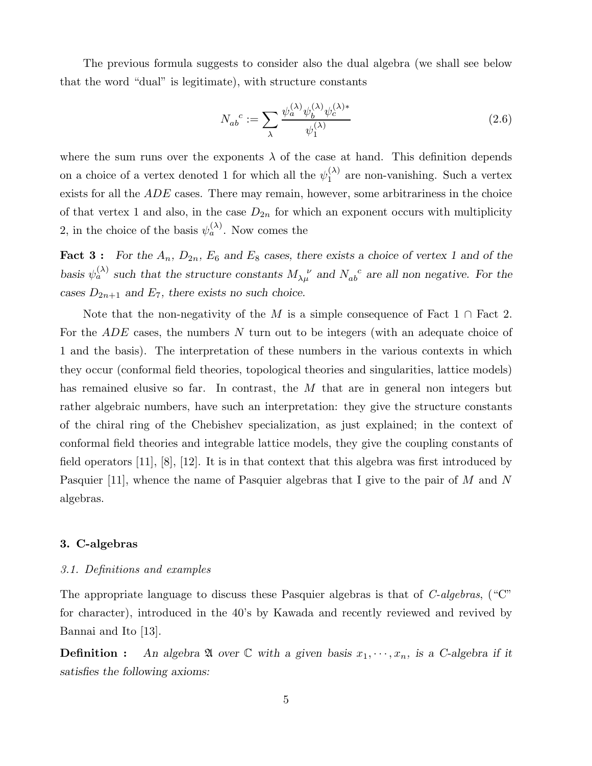The previous formula suggests to consider also the dual algebra (we shall see below that the word "dual" is legitimate), with structure constants

$$
N_{ab}^c := \sum_{\lambda} \frac{\psi_a^{(\lambda)} \psi_b^{(\lambda)} \psi_c^{(\lambda)*}}{\psi_1^{(\lambda)}}
$$
\n(2.6)

where the sum runs over the exponents  $\lambda$  of the case at hand. This definition depends on a choice of a vertex denoted 1 for which all the  $\psi_1^{(\lambda)}$  $\binom{1}{1}$  are non-vanishing. Such a vertex exists for all the ADE cases. There may remain, however, some arbitrariness in the choice of that vertex 1 and also, in the case  $D_{2n}$  for which an exponent occurs with multiplicity 2, in the choice of the basis  $\psi_a^{(\lambda)}$ . Now comes the

**Fact 3:** For the  $A_n$ ,  $D_{2n}$ ,  $E_6$  and  $E_8$  cases, there exists a choice of vertex 1 and of the basis  $\psi_a^{(\lambda)}$  such that the structure constants  $M_{\lambda\mu}^{\ \ \nu}$  and  $N_{ab}^{\ \ c}$  are all non negative. For the cases  $D_{2n+1}$  and  $E_7$ , there exists no such choice.

Note that the non-negativity of the M is a simple consequence of Fact 1 ∩ Fact 2. For the ADE cases, the numbers N turn out to be integers (with an adequate choice of 1 and the basis). The interpretation of these numbers in the various contexts in which they occur (conformal field theories, topological theories and singularities, lattice models) has remained elusive so far. In contrast, the M that are in general non integers but rather algebraic numbers, have such an interpretation: they give the structure constants of the chiral ring of the Chebishev specialization, as just explained; in the context of conformal field theories and integrable lattice models, they give the coupling constants of field operators  $[11]$ ,  $[8]$ ,  $[12]$ . It is in that context that this algebra was first introduced by Pasquier [11], whence the name of Pasquier algebras that I give to the pair of M and N algebras.

# 3. C-algebras

#### 3.1. Definitions and examples

The appropriate language to discuss these Pasquier algebras is that of C-algebras, ("C" for character), introduced in the 40's by Kawada and recently reviewed and revived by Bannai and Ito [13].

**Definition :** An algebra  $\mathfrak A$  over  $\mathbb C$  with a given basis  $x_1, \dots, x_n$ , is a C-algebra if it satisfies the following axioms: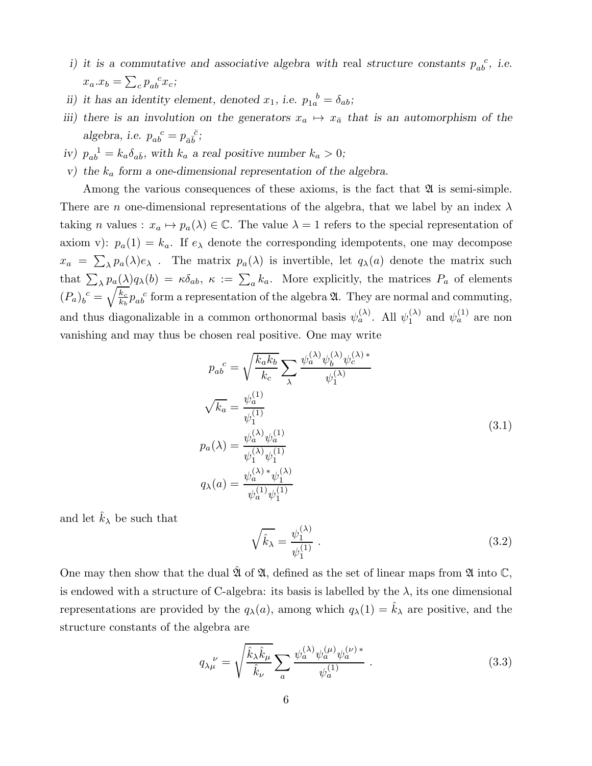- i) it is a commutative and associative algebra with real structure constants  $p_{ab}^{\,c}$ , i.e.  $x_a.x_b = \sum_c p_{ab}^c x_c;$
- ii) it has an identity element, denoted  $x_1$ , i.e.  $p_{1a}^{\phantom{1b}b} = \delta_{ab}$ ;
- iii) there is an involution on the generators  $x_a \mapsto x_{\bar{a}}$  that is an automorphism of the algebra, i.e.  $p_{ab}^c = p_{\bar{a}\bar{b}}^c$ ;
- iv)  $p_{ab}^{-1} = k_a \delta_{a\bar{b}}$ , with  $k_a$  a real positive number  $k_a > 0$ ;
- v) the  $k_a$  form a one-dimensional representation of the algebra.

Among the various consequences of these axioms, is the fact that  $\mathfrak A$  is semi-simple. There are n one-dimensional representations of the algebra, that we label by an index  $\lambda$ taking *n* values :  $x_a \mapsto p_a(\lambda) \in \mathbb{C}$ . The value  $\lambda = 1$  refers to the special representation of axiom v):  $p_a(1) = k_a$ . If  $e_{\lambda}$  denote the corresponding idempotents, one may decompose  $x_a = \sum_{\lambda} p_a(\lambda) e_{\lambda}$ . The matrix  $p_a(\lambda)$  is invertible, let  $q_{\lambda}(a)$  denote the matrix such that  $\sum_{\lambda} p_a(\lambda) q_{\lambda}(b) = \kappa \delta_{ab}, \ \kappa := \sum_a k_a.$  More explicitly, the matrices  $P_a$  of elements  $(P_a)_b^{\ c} = \sqrt{\frac{k_c}{k_b}}$  $\frac{k_c}{k_b} p_{ab}^c$  form a representation of the algebra  $\mathfrak{A}$ . They are normal and commuting, and thus diagonalizable in a common orthonormal basis  $\psi_a^{(\lambda)}$ . All  $\psi_1^{(\lambda)}$  $\chi_1^{(\lambda)}$  and  $\psi_a^{(1)}$  are non vanishing and may thus be chosen real positive. One may write

$$
p_{ab}^{c} = \sqrt{\frac{k_{a}k_{b}}{k_{c}}} \sum_{\lambda} \frac{\psi_{a}^{(\lambda)}\psi_{b}^{(\lambda)}\psi_{c}^{(\lambda)*}}{\psi_{1}^{(\lambda)}}
$$
  

$$
\sqrt{k_{a}} = \frac{\psi_{a}^{(1)}}{\psi_{1}^{(1)}}
$$
  

$$
p_{a}(\lambda) = \frac{\psi_{a}^{(\lambda)}\psi_{a}^{(1)}}{\psi_{1}^{(\lambda)}\psi_{1}^{(1)}}
$$
  

$$
q_{\lambda}(a) = \frac{\psi_{a}^{(\lambda)*}\psi_{1}^{(\lambda)}}{\psi_{a}^{(1)}\psi_{1}^{(1)}}
$$
  
(3.1)

and let  $k_{\lambda}$  be such that

$$
\sqrt{\hat{k}_{\lambda}} = \frac{\psi_1^{(\lambda)}}{\psi_1^{(1)}} . \tag{3.2}
$$

One may then show that the dual  $\mathfrak{A}$  of  $\mathfrak{A}$ , defined as the set of linear maps from  $\mathfrak{A}$  into  $\mathbb{C}$ , is endowed with a structure of C-algebra: its basis is labelled by the  $\lambda$ , its one dimensional representations are provided by the  $q_{\lambda}(a)$ , among which  $q_{\lambda}(1) = \hat{k}_{\lambda}$  are positive, and the structure constants of the algebra are

$$
q_{\lambda\mu}^{\ \nu} = \sqrt{\frac{\hat{k}_{\lambda}\hat{k}_{\mu}}{\hat{k}_{\nu}}} \sum_{a} \frac{\psi_{a}^{(\lambda)}\psi_{a}^{(\mu)}\psi_{a}^{(\nu)*}}{\psi_{a}^{(1)}}.
$$
 (3.3)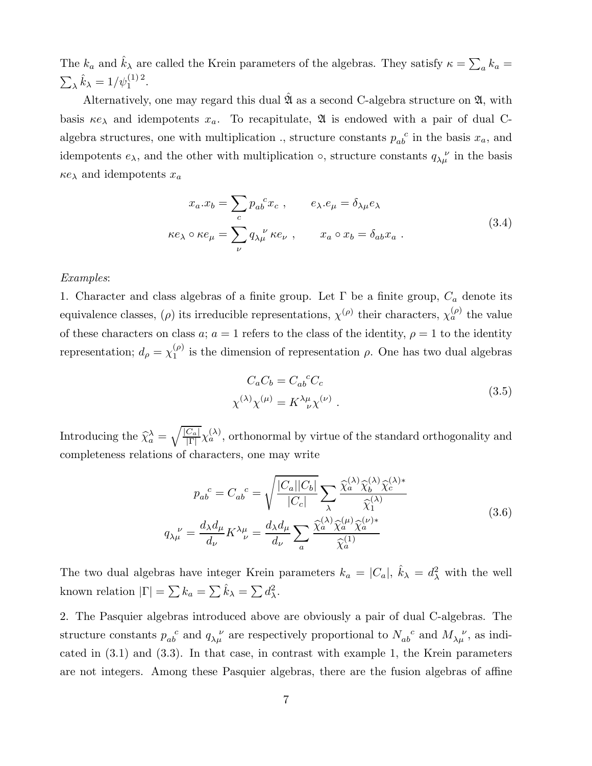The  $k_a$  and  $\hat{k}_\lambda$  are called the Krein parameters of the algebras. They satisfy  $\kappa = \sum_a k_a =$  $\sum_{\lambda} \hat{k}_{\lambda} = 1/\psi_1^{(1)2}.$ 

Alternatively, one may regard this dual  $\hat{\mathfrak{A}}$  as a second C-algebra structure on  $\mathfrak{A}$ , with basis  $\kappa e_\lambda$  and idempotents  $x_a$ . To recapitulate,  $\mathfrak A$  is endowed with a pair of dual Calgebra structures, one with multiplication ., structure constants  $p_{ab}^{\,c}$  in the basis  $x_a$ , and idempotents  $e_{\lambda}$ , and the other with multiplication  $\circ$ , structure constants  $q_{\lambda\mu}^{\nu}$  in the basis  $\kappa e_{\lambda}$  and idempotents  $x_a$ 

$$
x_a.x_b = \sum_c p_{ab}^c x_c , \qquad e_{\lambda} . e_{\mu} = \delta_{\lambda \mu} e_{\lambda}
$$
  

$$
\kappa e_{\lambda} \circ \kappa e_{\mu} = \sum_{\nu} q_{\lambda \mu}^{\ \nu} \kappa e_{\nu} , \qquad x_a \circ x_b = \delta_{ab} x_a .
$$
 (3.4)

## Examples:

1. Character and class algebras of a finite group. Let  $\Gamma$  be a finite group,  $C_a$  denote its equivalence classes,  $(\rho)$  its irreducible representations,  $\chi^{(\rho)}$  their characters,  $\chi^{(\rho)}_a$  the value of these characters on class a;  $a = 1$  refers to the class of the identity,  $\rho = 1$  to the identity representation;  $d_{\rho} = \chi_1^{(\rho)}$  $\binom{p}{1}$  is the dimension of representation  $\rho$ . One has two dual algebras

$$
C_a C_b = C_{ab}{}^c C_c
$$
  

$$
\chi^{(\lambda)} \chi^{(\mu)} = K^{\lambda \mu}_{\ \nu} \chi^{(\nu)}.
$$
 (3.5)

Introducing the  $\widehat{\chi}_a^{\lambda} = \sqrt{\frac{|C_a|}{|\Gamma|}}$  $\frac{C_a}{|\Gamma|} \chi_a^{(\lambda)}$ , orthonormal by virtue of the standard orthogonality and completeness relations of characters, one may write

$$
p_{ab}^{\ \ c} = C_{ab}^{\ \ c} = \sqrt{\frac{|C_a||C_b|}{|C_c|}} \sum_{\lambda} \frac{\hat{\chi}_a^{(\lambda)} \hat{\chi}_b^{(\lambda)} \hat{\chi}_c^{(\lambda)*}}{\hat{\chi}_1^{(\lambda)}}
$$

$$
q_{\lambda\mu}^{\ \nu} = \frac{d_{\lambda}d_{\mu}}{d_{\nu}} K^{\lambda\mu}_{\ \ \nu} = \frac{d_{\lambda}d_{\mu}}{d_{\nu}} \sum_a \frac{\hat{\chi}_a^{(\lambda)} \hat{\chi}_a^{(\mu)} \hat{\chi}_a^{(\nu)*}}{\hat{\chi}_a^{(1)}}
$$
(3.6)

The two dual algebras have integer Krein parameters  $k_a = |C_a|$ ,  $\hat{k}_{\lambda} = d_{\lambda}^2$  with the well known relation  $|\Gamma| = \sum k_a = \sum \hat{k}_{\lambda} = \sum d_{\lambda}^2$ .

2. The Pasquier algebras introduced above are obviously a pair of dual C-algebras. The structure constants  $p_{ab}^{\quad c}$  and  $q_{\lambda\mu}^{\quad \nu}$  are respectively proportional to  $N_{ab}^{\quad c}$  and  $M_{\lambda\mu}^{\quad \nu}$ , as indicated in (3.1) and (3.3). In that case, in contrast with example 1, the Krein parameters are not integers. Among these Pasquier algebras, there are the fusion algebras of affine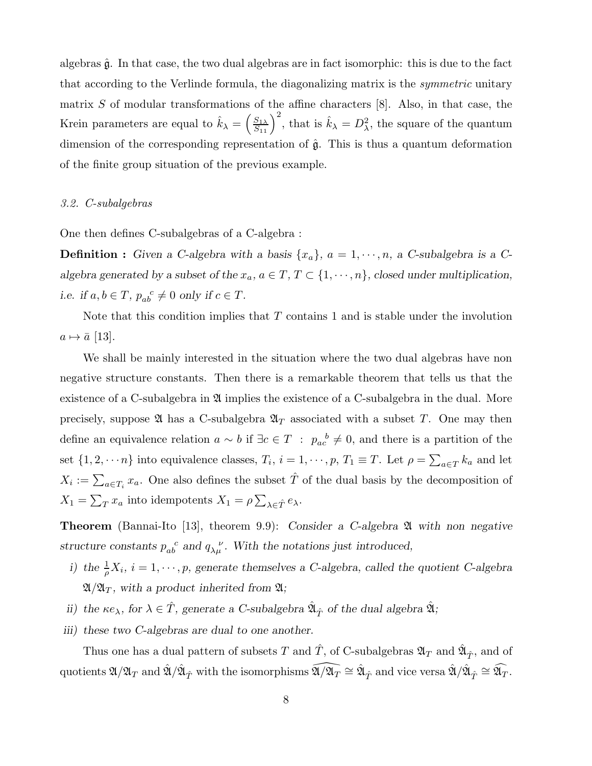algebras  $\hat{\mathfrak{g}}$ . In that case, the two dual algebras are in fact isomorphic: this is due to the fact that according to the Verlinde formula, the diagonalizing matrix is the symmetric unitary matrix  $S$  of modular transformations of the affine characters  $[8]$ . Also, in that case, the Krein parameters are equal to  $\hat{k}_{\lambda} = \left(\frac{S_{1\lambda}}{S_{11}}\right)^2$ , that is  $\hat{k}_{\lambda} = D_{\lambda}^2$ , the square of the quantum dimension of the corresponding representation of  $\hat{\mathfrak{g}}$ . This is thus a quantum deformation of the finite group situation of the previous example.

## 3.2. C-subalgebras

One then defines C-subalgebras of a C-algebra :

**Definition :** Given a C-algebra with a basis  $\{x_a\}$ ,  $a = 1, \dots, n$ , a C-subalgebra is a Calgebra generated by a subset of the  $x_a$ ,  $a \in T$ ,  $T \subset \{1, \dots, n\}$ , closed under multiplication, i.e. if  $a, b \in T$ ,  $p_{ab}^c \neq 0$  only if  $c \in T$ .

Note that this condition implies that  $T$  contains 1 and is stable under the involution  $a \mapsto \bar{a}$  [13].

We shall be mainly interested in the situation where the two dual algebras have non negative structure constants. Then there is a remarkable theorem that tells us that the existence of a C-subalgebra in  $\mathfrak A$  implies the existence of a C-subalgebra in the dual. More precisely, suppose  $\mathfrak{A}$  has a C-subalgebra  $\mathfrak{A}_T$  associated with a subset T. One may then define an equivalence relation  $a \sim b$  if  $\exists c \in T : p_{ac}^{\ b} \neq 0$ , and there is a partition of the set  $\{1, 2, \dots n\}$  into equivalence classes,  $T_i$ ,  $i = 1, \dots, p$ ,  $T_1 \equiv T$ . Let  $\rho = \sum_{a \in T} k_a$  and let  $X_i := \sum_{a \in T_i} x_a$ . One also defines the subset  $\hat{T}$  of the dual basis by the decomposition of  $X_1 = \sum_T x_a$  into idempotents  $X_1 = \rho \sum_{\lambda \in \hat{T}} e_{\lambda}$ .

**Theorem** (Bannai-Ito [13], theorem 9.9): Consider a C-algebra  $\mathfrak A$  with non negative structure constants  $p_{ab}^c$  and  $q_{\lambda\mu}^{\nu}$ . With the notations just introduced,

- i) the  $\frac{1}{\rho}X_i$ ,  $i=1,\dots,p$ , generate themselves a C-algebra, called the quotient C-algebra  $\mathfrak{A}/\mathfrak{A}_T$ , with a product inherited from  $\mathfrak{A}$ ;
- ii) the  $\kappa e_{\lambda}$ , for  $\lambda \in \hat{T}$ , generate a C-subalgebra  $\hat{\mathfrak{A}}_{\hat{T}}$  of the dual algebra  $\hat{\mathfrak{A}}$ ;
- iii) these two C-algebras are dual to one another.

Thus one has a dual pattern of subsets  $T$  and  $\hat{T}$ , of C-subalgebras  $\mathfrak{A}_T$  and  $\hat{\mathfrak{A}}_{\hat{T}}$ , and of quotients  $\mathfrak{A}/\mathfrak{A}_T$  and  $\hat{\mathfrak{A}}/\hat{\mathfrak{A}}_{\hat{T}}$  with the isomorphisms  $\widehat{\mathfrak{A}/\mathfrak{A}_T}\cong \hat{\mathfrak{A}}_{\hat{T}}$  and vice versa  $\hat{\mathfrak{A}}/\hat{\mathfrak{A}}_{\hat{T}}\cong \widehat{\mathfrak{A}_T}.$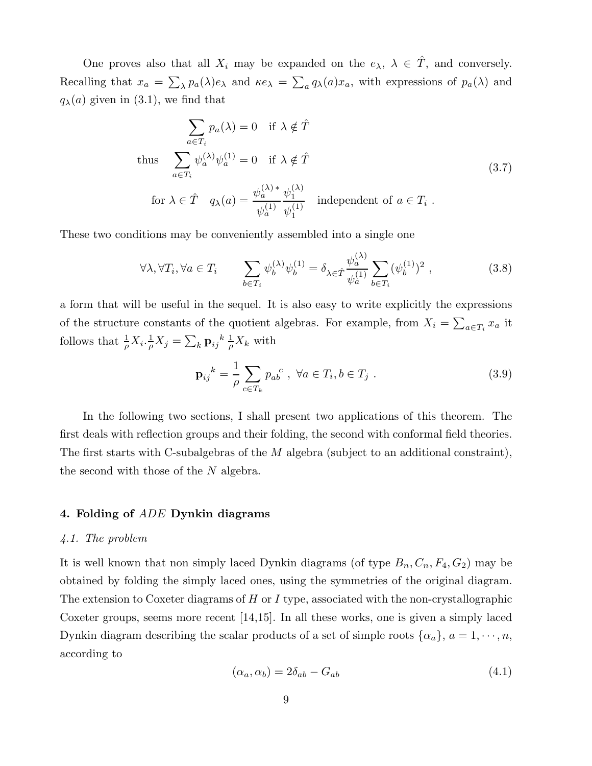One proves also that all  $X_i$  may be expanded on the  $e_\lambda$ ,  $\lambda \in \hat{T}$ , and conversely. Recalling that  $x_a = \sum_{\lambda} p_a(\lambda) e_{\lambda}$  and  $\kappa e_{\lambda} = \sum_a q_{\lambda}(a) x_a$ , with expressions of  $p_a(\lambda)$  and  $q_{\lambda}(a)$  given in (3.1), we find that

$$
\sum_{a \in T_i} p_a(\lambda) = 0 \quad \text{if } \lambda \notin \hat{T}
$$
  
\nthus 
$$
\sum_{a \in T_i} \psi_a^{(\lambda)} \psi_a^{(1)} = 0 \quad \text{if } \lambda \notin \hat{T}
$$
  
\nfor  $\lambda \in \hat{T}$   $q_\lambda(a) = \frac{\psi_a^{(\lambda)*} \psi_1^{(\lambda)}}{\psi_a^{(1)}} \quad \text{independent of } a \in T_i$ . (3.7)

These two conditions may be conveniently assembled into a single one

$$
\forall \lambda, \forall T_i, \forall a \in T_i \qquad \sum_{b \in T_i} \psi_b^{(\lambda)} \psi_b^{(1)} = \delta_{\lambda \in \hat{T}} \frac{\psi_a^{(\lambda)}}{\psi_a^{(1)}} \sum_{b \in T_i} (\psi_b^{(1)})^2 , \qquad (3.8)
$$

a form that will be useful in the sequel. It is also easy to write explicitly the expressions of the structure constants of the quotient algebras. For example, from  $X_i = \sum_{a \in T_i} x_a$  it follows that  $\frac{1}{\rho}X_i.\frac{1}{\rho}$  $\frac{1}{\rho}X_j=\sum_k{{\bf p}_{ij}}^k\frac{1}{\rho}$  $\frac{1}{\rho}X_k$  with

$$
\mathbf{p}_{ij}^{k} = \frac{1}{\rho} \sum_{c \in T_k} p_{ab}^{c} , \ \forall a \in T_i, b \in T_j .
$$
 (3.9)

In the following two sections, I shall present two applications of this theorem. The first deals with reflection groups and their folding, the second with conformal field theories. The first starts with C-subalgebras of the  $M$  algebra (subject to an additional constraint), the second with those of the N algebra.

#### 4. Folding of ADE Dynkin diagrams

# 4.1. The problem

It is well known that non simply laced Dynkin diagrams (of type  $B_n, C_n, F_4, G_2$ ) may be obtained by folding the simply laced ones, using the symmetries of the original diagram. The extension to Coxeter diagrams of  $H$  or  $I$  type, associated with the non-crystallographic Coxeter groups, seems more recent [14,15]. In all these works, one is given a simply laced Dynkin diagram describing the scalar products of a set of simple roots  $\{\alpha_a\}$ ,  $a = 1, \dots, n$ , according to

$$
(\alpha_a, \alpha_b) = 2\delta_{ab} - G_{ab} \tag{4.1}
$$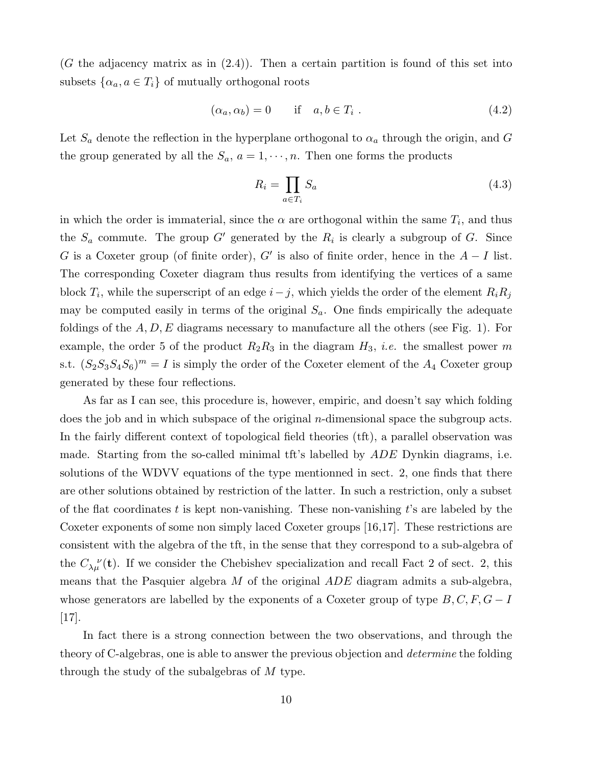$(G$  the adjacency matrix as in  $(2.4)$ ). Then a certain partition is found of this set into subsets  $\{\alpha_a, a \in T_i\}$  of mutually orthogonal roots

$$
(\alpha_a, \alpha_b) = 0 \quad \text{if} \quad a, b \in T_i \tag{4.2}
$$

Let  $S_a$  denote the reflection in the hyperplane orthogonal to  $\alpha_a$  through the origin, and G the group generated by all the  $S_a$ ,  $a = 1, \dots, n$ . Then one forms the products

$$
R_i = \prod_{a \in T_i} S_a \tag{4.3}
$$

in which the order is immaterial, since the  $\alpha$  are orthogonal within the same  $T_i$ , and thus the  $S_a$  commute. The group G' generated by the  $R_i$  is clearly a subgroup of G. Since G is a Coxeter group (of finite order), G' is also of finite order, hence in the  $A - I$  list. The corresponding Coxeter diagram thus results from identifying the vertices of a same block  $T_i$ , while the superscript of an edge  $i-j$ , which yields the order of the element  $R_iR_j$ may be computed easily in terms of the original  $S_a$ . One finds empirically the adequate foldings of the  $A, D, E$  diagrams necessary to manufacture all the others (see Fig. 1). For example, the order 5 of the product  $R_2R_3$  in the diagram  $H_3$ , *i.e.* the smallest power m s.t.  $(S_2S_3S_4S_6)^m = I$  is simply the order of the Coxeter element of the  $A_4$  Coxeter group generated by these four reflections.

As far as I can see, this procedure is, however, empiric, and doesn't say which folding does the job and in which subspace of the original n-dimensional space the subgroup acts. In the fairly different context of topological field theories (tft), a parallel observation was made. Starting from the so-called minimal tft's labelled by  $ADE$  Dynkin diagrams, i.e. solutions of the WDVV equations of the type mentionned in sect. 2, one finds that there are other solutions obtained by restriction of the latter. In such a restriction, only a subset of the flat coordinates t is kept non-vanishing. These non-vanishing t's are labeled by the Coxeter exponents of some non simply laced Coxeter groups [16,17]. These restrictions are consistent with the algebra of the tft, in the sense that they correspond to a sub-algebra of the  $C_{\lambda\mu}^{\ \ \nu}(\mathbf{t})$ . If we consider the Chebishev specialization and recall Fact 2 of sect. 2, this means that the Pasquier algebra  $M$  of the original  $ADE$  diagram admits a sub-algebra, whose generators are labelled by the exponents of a Coxeter group of type  $B, C, F, G - I$ [17].

In fact there is a strong connection between the two observations, and through the theory of C-algebras, one is able to answer the previous objection and determine the folding through the study of the subalgebras of M type.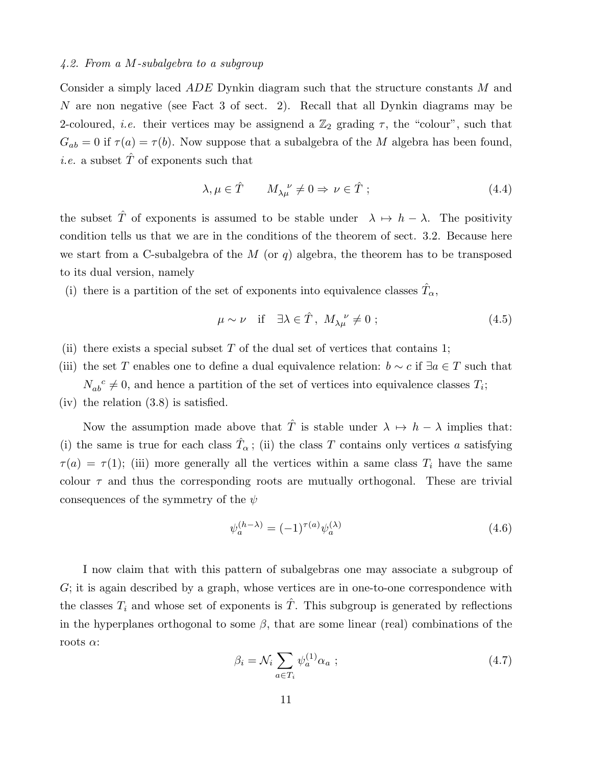# 4.2. From a M-subalgebra to a subgroup

Consider a simply laced ADE Dynkin diagram such that the structure constants M and N are non negative (see Fact 3 of sect. 2). Recall that all Dynkin diagrams may be 2-coloured, *i.e.* their vertices may be assignend a  $\mathbb{Z}_2$  grading  $\tau$ , the "colour", such that  $G_{ab} = 0$  if  $\tau(a) = \tau(b)$ . Now suppose that a subalgebra of the M algebra has been found, *i.e.* a subset  $\hat{T}$  of exponents such that

$$
\lambda, \mu \in \hat{T} \qquad M_{\lambda\mu}^{\ \nu} \neq 0 \Rightarrow \nu \in \hat{T} ; \tag{4.4}
$$

the subset  $\hat{T}$  of exponents is assumed to be stable under  $\lambda \mapsto h - \lambda$ . The positivity condition tells us that we are in the conditions of the theorem of sect. 3.2. Because here we start from a C-subalgebra of the  $M$  (or  $q$ ) algebra, the theorem has to be transposed to its dual version, namely

(i) there is a partition of the set of exponents into equivalence classes  $\hat{T}_{\alpha}$ ,

$$
\mu \sim \nu \quad \text{if} \quad \exists \lambda \in \hat{T}, \ M_{\lambda\mu}^{\ \nu} \neq 0 \tag{4.5}
$$

- (ii) there exists a special subset  $T$  of the dual set of vertices that contains 1;
- (iii) the set T enables one to define a dual equivalence relation:  $b \sim c$  if  $\exists a \in T$  such that  $N_{ab}^c \neq 0$ , and hence a partition of the set of vertices into equivalence classes  $T_i$ ;
- (iv) the relation (3.8) is satisfied.

Now the assumption made above that  $\hat{T}$  is stable under  $\lambda \mapsto h - \lambda$  implies that: (i) the same is true for each class  $\hat{T}_{\alpha}$ ; (ii) the class T contains only vertices a satisfying  $\tau(a) = \tau(1)$ ; (iii) more generally all the vertices within a same class  $T_i$  have the same colour  $\tau$  and thus the corresponding roots are mutually orthogonal. These are trivial consequences of the symmetry of the  $\psi$ 

$$
\psi_a^{(h-\lambda)} = (-1)^{\tau(a)} \psi_a^{(\lambda)} \tag{4.6}
$$

I now claim that with this pattern of subalgebras one may associate a subgroup of G; it is again described by a graph, whose vertices are in one-to-one correspondence with the classes  $T_i$  and whose set of exponents is  $\hat{T}$ . This subgroup is generated by reflections in the hyperplanes orthogonal to some  $\beta$ , that are some linear (real) combinations of the roots  $\alpha$ :

$$
\beta_i = \mathcal{N}_i \sum_{a \in T_i} \psi_a^{(1)} \alpha_a ; \qquad (4.7)
$$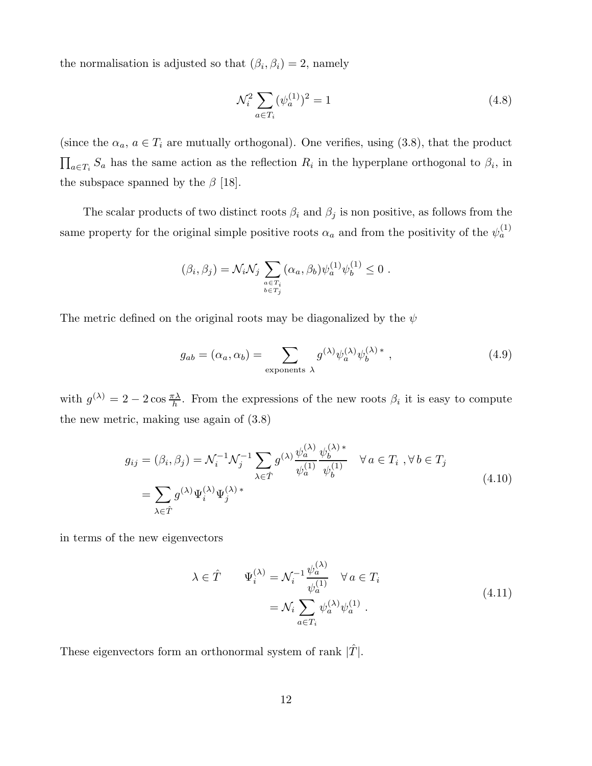the normalisation is adjusted so that  $(\beta_i, \beta_i) = 2$ , namely

$$
\mathcal{N}_i^2 \sum_{a \in T_i} (\psi_a^{(1)})^2 = 1 \tag{4.8}
$$

(since the  $\alpha_a$ ,  $a \in T_i$  are mutually orthogonal). One verifies, using (3.8), that the product  $\prod_{a \in T_i} S_a$  has the same action as the reflection  $R_i$  in the hyperplane orthogonal to  $\beta_i$ , in the subspace spanned by the  $\beta$  [18].

The scalar products of two distinct roots  $\beta_i$  and  $\beta_j$  is non positive, as follows from the same property for the original simple positive roots  $\alpha_a$  and from the positivity of the  $\psi_a^{(1)}$ 

$$
(\beta_i, \beta_j) = \mathcal{N}_i \mathcal{N}_j \sum_{\substack{a \in T_i \\ b \in T_j}} (\alpha_a, \beta_b) \psi_a^{(1)} \psi_b^{(1)} \le 0.
$$

The metric defined on the original roots may be diagonalized by the  $\psi$ 

$$
g_{ab} = (\alpha_a, \alpha_b) = \sum_{\text{exponents } \lambda} g^{(\lambda)} \psi_a^{(\lambda)} \psi_b^{(\lambda) *}, \qquad (4.9)
$$

with  $g^{(\lambda)} = 2 - 2 \cos \frac{\pi \lambda}{h}$ . From the expressions of the new roots  $\beta_i$  it is easy to compute the new metric, making use again of (3.8)

$$
g_{ij} = (\beta_i, \beta_j) = \mathcal{N}_i^{-1} \mathcal{N}_j^{-1} \sum_{\lambda \in \hat{T}} g^{(\lambda)} \frac{\psi_a^{(\lambda)}}{\psi_a^{(1)}} \frac{\psi_b^{(\lambda)*}}{\psi_b^{(1)}} \quad \forall a \in T_i, \forall b \in T_j
$$
  
= 
$$
\sum_{\lambda \in \hat{T}} g^{(\lambda)} \Psi_i^{(\lambda)} \Psi_j^{(\lambda)*}
$$
 (4.10)

in terms of the new eigenvectors

$$
\lambda \in \hat{T} \qquad \Psi_i^{(\lambda)} = \mathcal{N}_i^{-1} \frac{\psi_a^{(\lambda)}}{\psi_a^{(1)}} \quad \forall a \in T_i
$$
\n
$$
= \mathcal{N}_i \sum_{a \in T_i} \psi_a^{(\lambda)} \psi_a^{(1)} \ . \tag{4.11}
$$

These eigenvectors form an orthonormal system of rank  $|T|$ .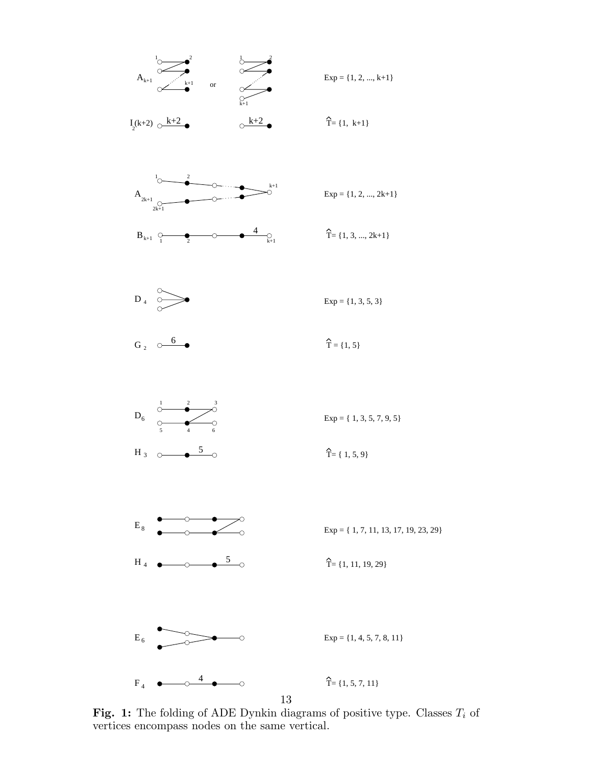

 $Exp = \{1, 2, ..., k+1\}$ 

 $\lambda^{k+2}$  $I_2(k+2)$   $\circ$   $\frac{k+2}{2}$ 

 $\hat{T} = \{1, k+1\}$ 

 $Exp = \{1, 3, 5, 3\}$ 

 $\hat{T} = \{1, 3, ..., 2k+1\}$ 

 $Exp = \{1, 2, ..., 2k+1\}$ 





 $G_2 \quad \circlearrowright$ 









Fig. 1: The folding of ADE Dynkin diagrams of positive type. Classes  $T_i$  of vertices encompass nodes on the same vertical.

13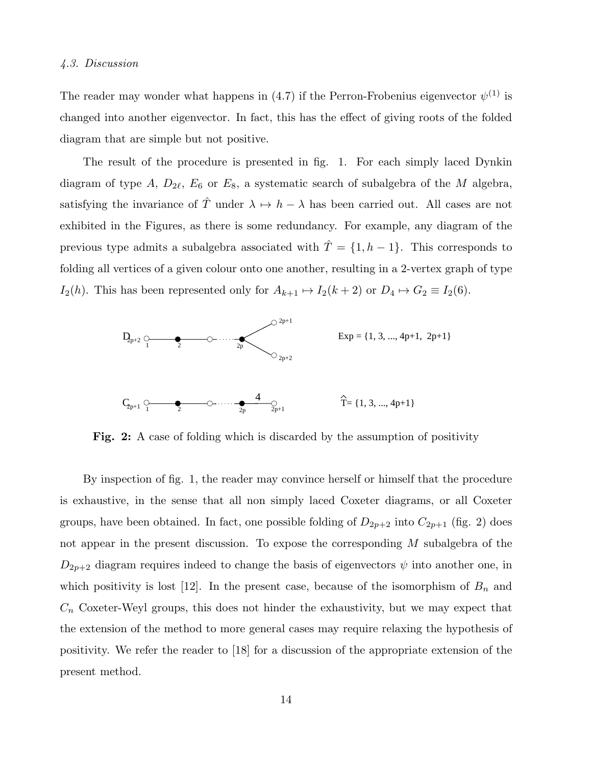# 4.3. Discussion

The reader may wonder what happens in (4.7) if the Perron-Frobenius eigenvector  $\psi^{(1)}$  is changed into another eigenvector. In fact, this has the effect of giving roots of the folded diagram that are simple but not positive.

The result of the procedure is presented in fig. 1. For each simply laced Dynkin diagram of type  $A, D_{2\ell}, E_6$  or  $E_8$ , a systematic search of subalgebra of the M algebra, satisfying the invariance of  $\hat{T}$  under  $\lambda \mapsto h - \lambda$  has been carried out. All cases are not exhibited in the Figures, as there is some redundancy. For example, any diagram of the previous type admits a subalgebra associated with  $\hat{T} = \{1, h - 1\}$ . This corresponds to folding all vertices of a given colour onto one another, resulting in a 2-vertex graph of type  $I_2(h)$ . This has been represented only for  $A_{k+1} \mapsto I_2(k+2)$  or  $D_4 \mapsto G_2 \equiv I_2(6)$ .



Fig. 2: A case of folding which is discarded by the assumption of positivity

By inspection of fig. 1, the reader may convince herself or himself that the procedure is exhaustive, in the sense that all non simply laced Coxeter diagrams, or all Coxeter groups, have been obtained. In fact, one possible folding of  $D_{2p+2}$  into  $C_{2p+1}$  (fig. 2) does not appear in the present discussion. To expose the corresponding M subalgebra of the  $D_{2p+2}$  diagram requires indeed to change the basis of eigenvectors  $\psi$  into another one, in which positivity is lost [12]. In the present case, because of the isomorphism of  $B_n$  and  $C_n$  Coxeter-Weyl groups, this does not hinder the exhaustivity, but we may expect that the extension of the method to more general cases may require relaxing the hypothesis of positivity. We refer the reader to [18] for a discussion of the appropriate extension of the present method.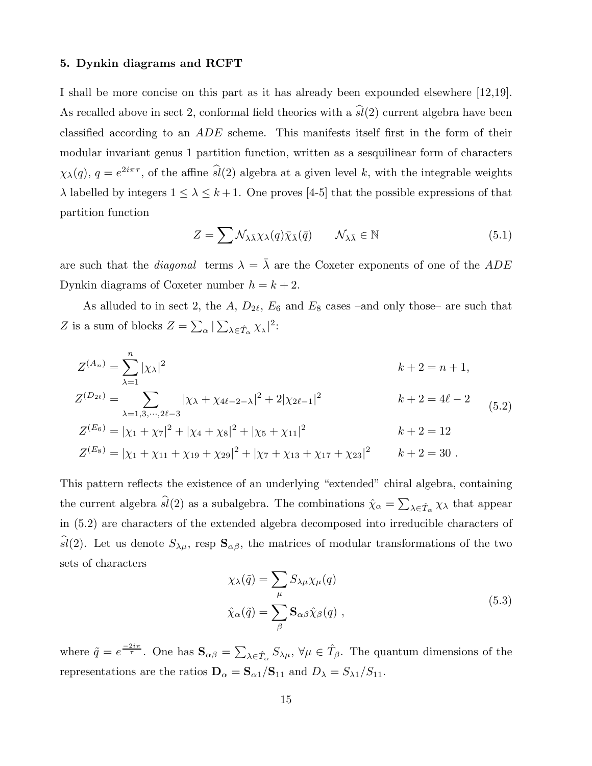## 5. Dynkin diagrams and RCFT

I shall be more concise on this part as it has already been expounded elsewhere [12,19]. As recalled above in sect 2, conformal field theories with a  $\hat{sl}(2)$  current algebra have been classified according to an ADE scheme. This manifests itself first in the form of their modular invariant genus 1 partition function, written as a sesquilinear form of characters  $\chi_{\lambda}(q)$ ,  $q = e^{2i\pi\tau}$ , of the affine  $\widehat{sl}(2)$  algebra at a given level k, with the integrable weights  $\lambda$  labelled by integers  $1 \leq \lambda \leq k+1$ . One proves [4-5] that the possible expressions of that partition function

$$
Z = \sum \mathcal{N}_{\lambda \bar{\lambda}} \chi_{\lambda}(q) \bar{\chi}_{\bar{\lambda}}(\bar{q}) \qquad \mathcal{N}_{\lambda \bar{\lambda}} \in \mathbb{N} \tag{5.1}
$$

are such that the *diagonal* terms  $\lambda = \overline{\lambda}$  are the Coxeter exponents of one of the ADE Dynkin diagrams of Coxeter number  $h = k + 2$ .

As alluded to in sect 2, the A,  $D_{2\ell}$ ,  $E_6$  and  $E_8$  cases –and only those– are such that Z is a sum of blocks  $Z = \sum_{\alpha} |\sum_{\lambda \in \hat{T}_{\alpha}} \chi_{\lambda}|^2$ :

$$
Z^{(A_n)} = \sum_{\lambda=1}^{n} |\chi_{\lambda}|^2
$$
  
\n
$$
Z^{(D_{2\ell})} = \sum_{\lambda=1,3,\cdots,2\ell-3} |\chi_{\lambda} + \chi_{4\ell-2-\lambda}|^2 + 2|\chi_{2\ell-1}|^2
$$
  
\n
$$
k+2 = n+1,
$$
  
\n
$$
k+2 = 4\ell-2
$$
  
\n
$$
k+2 = 4\ell-2
$$
  
\n
$$
k+2 = 4\ell-2
$$
  
\n
$$
K+2 = 4\ell-2
$$
  
\n
$$
k+2 = 12
$$
  
\n
$$
Z^{(E_6)} = |\chi_1 + \chi_{11} + \chi_{19} + \chi_{29}|^2 + |\chi_7 + \chi_{13} + \chi_{17} + \chi_{23}|^2
$$
  
\n
$$
k+2 = 12
$$
  
\n
$$
k+2 = 12
$$
  
\n
$$
k+2 = 30.
$$
  
\n(5.2)

This pattern reflects the existence of an underlying "extended" chiral algebra, containing the current algebra  $\widehat{sl}(2)$  as a subalgebra. The combinations  $\hat{\chi}_{\alpha} = \sum_{\lambda \in \hat{T}_{\alpha}} \chi_{\lambda}$  that appear in (5.2) are characters of the extended algebra decomposed into irreducible characters of sl(2). Let us denote  $S_{\lambda\mu}$ , resp  $\mathbf{S}_{\alpha\beta}$ , the matrices of modular transformations of the two sets of characters

$$
\chi_{\lambda}(\tilde{q}) = \sum_{\mu} S_{\lambda\mu} \chi_{\mu}(q)
$$
  

$$
\hat{\chi}_{\alpha}(\tilde{q}) = \sum_{\beta} \mathbf{S}_{\alpha\beta} \hat{\chi}_{\beta}(q) ,
$$
 (5.3)

where  $\tilde{q} = e^{\frac{-2i\pi}{\tau}}$ . One has  $\mathbf{S}_{\alpha\beta} = \sum_{\lambda \in \hat{T}_{\alpha}} S_{\lambda\mu}$ ,  $\forall \mu \in \hat{T}_{\beta}$ . The quantum dimensions of the representations are the ratios  $\mathbf{D}_{\alpha} = \mathbf{S}_{\alpha 1} / \mathbf{S}_{11}$  and  $D_{\lambda} = S_{\lambda 1} / S_{11}$ .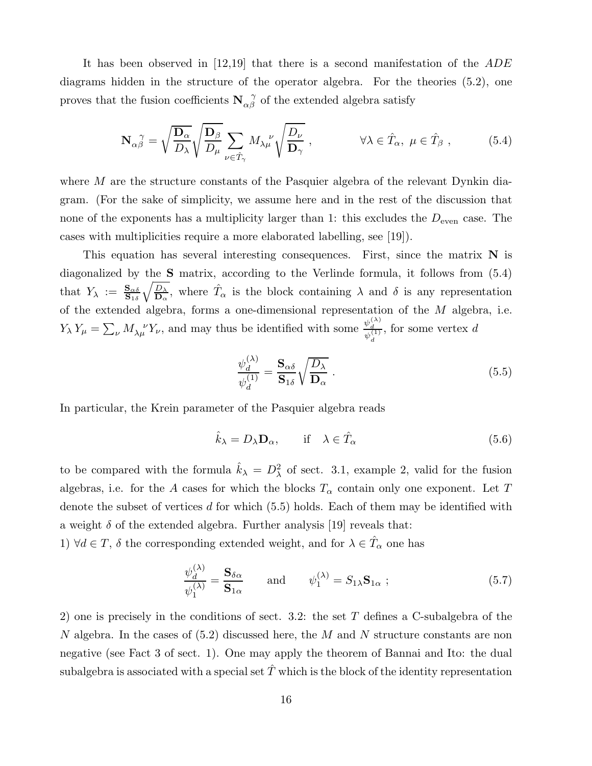It has been observed in [12,19] that there is a second manifestation of the ADE diagrams hidden in the structure of the operator algebra. For the theories (5.2), one proves that the fusion coefficients  $N_{\alpha\beta}^{\quad \gamma}$  of the extended algebra satisfy

$$
\mathbf{N}_{\alpha\beta}^{\ \gamma} = \sqrt{\frac{\mathbf{D}_{\alpha}}{D_{\lambda}}} \sqrt{\frac{\mathbf{D}_{\beta}}{D_{\mu}}} \sum_{\nu \in \hat{T}_{\gamma}} M_{\lambda\mu}^{\ \nu} \sqrt{\frac{D_{\nu}}{\mathbf{D}_{\gamma}}}, \qquad \forall \lambda \in \hat{T}_{\alpha}, \ \mu \in \hat{T}_{\beta}, \qquad (5.4)
$$

where  $M$  are the structure constants of the Pasquier algebra of the relevant Dynkin diagram. (For the sake of simplicity, we assume here and in the rest of the discussion that none of the exponents has a multiplicity larger than 1: this excludes the  $D_{\text{even}}$  case. The cases with multiplicities require a more elaborated labelling, see [19]).

This equation has several interesting consequences. First, since the matrix  $N$  is diagonalized by the S matrix, according to the Verlinde formula, it follows from (5.4) that  $Y_{\lambda} := \frac{\mathbf{S}_{\alpha\delta}}{\mathbf{S}_{1\delta}}$  $\sqrt{\frac{D_\lambda}{2}}$  $\frac{D_{\lambda}}{D_{\alpha}}$ , where  $\hat{T}_{\alpha}$  is the block containing  $\lambda$  and  $\delta$  is any representation of the extended algebra, forms a one-dimensional representation of the M algebra, i.e.  $Y_{\lambda} Y_{\mu} = \sum_{\nu} M_{\lambda \mu}^{\nu} Y_{\nu}$ , and may thus be identified with some  $\frac{\psi_d^{(\lambda)}}{\psi_d^{(1)}}$  $\psi_d^{(1)}$ , for some vertex d

$$
\frac{\psi_d^{(\lambda)}}{\psi_d^{(1)}} = \frac{\mathbf{S}_{\alpha\delta}}{\mathbf{S}_{1\delta}} \sqrt{\frac{D_\lambda}{\mathbf{D}_{\alpha}}} \ . \tag{5.5}
$$

In particular, the Krein parameter of the Pasquier algebra reads

$$
\hat{k}_{\lambda} = D_{\lambda} \mathbf{D}_{\alpha}, \qquad \text{if} \quad \lambda \in \hat{T}_{\alpha} \tag{5.6}
$$

to be compared with the formula  $\hat{k}_{\lambda} = D_{\lambda}^2$  of sect. 3.1, example 2, valid for the fusion algebras, i.e. for the A cases for which the blocks  $T_{\alpha}$  contain only one exponent. Let T denote the subset of vertices d for which (5.5) holds. Each of them may be identified with a weight  $\delta$  of the extended algebra. Further analysis [19] reveals that:

1)  $\forall d \in T$ ,  $\delta$  the corresponding extended weight, and for  $\lambda \in \hat{T}_{\alpha}$  one has

$$
\frac{\psi_d^{(\lambda)}}{\psi_1^{(\lambda)}} = \frac{\mathbf{S}_{\delta \alpha}}{\mathbf{S}_{1\alpha}} \quad \text{and} \quad \psi_1^{(\lambda)} = S_{1\lambda} \mathbf{S}_{1\alpha} ; \tag{5.7}
$$

2) one is precisely in the conditions of sect. 3.2: the set  $T$  defines a C-subalgebra of the N algebra. In the cases of  $(5.2)$  discussed here, the M and N structure constants are non negative (see Fact 3 of sect. 1). One may apply the theorem of Bannai and Ito: the dual subalgebra is associated with a special set  $\hat{T}$  which is the block of the identity representation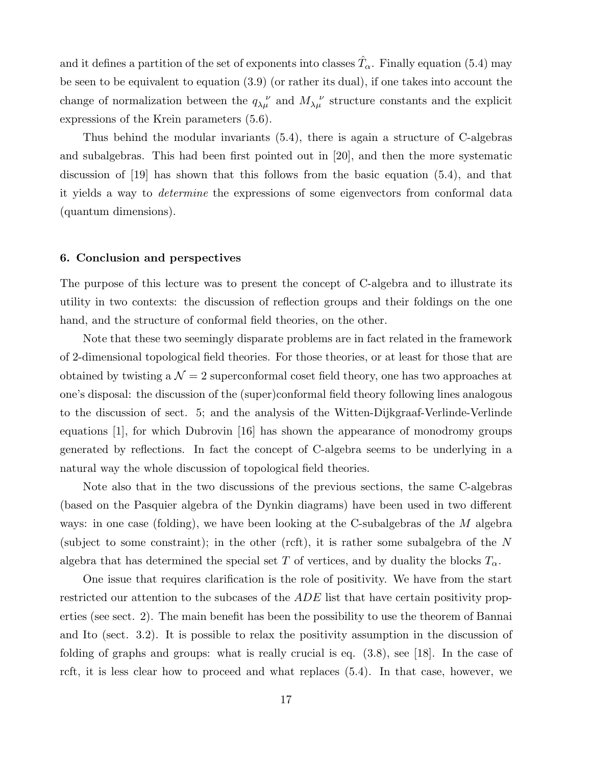and it defines a partition of the set of exponents into classes  $\hat{T}_{\alpha}$ . Finally equation (5.4) may be seen to be equivalent to equation (3.9) (or rather its dual), if one takes into account the change of normalization between the  $q_{\lambda\mu}^{\nu}$  and  $M_{\lambda\mu}^{\nu}$  structure constants and the explicit expressions of the Krein parameters (5.6).

Thus behind the modular invariants (5.4), there is again a structure of C-algebras and subalgebras. This had been first pointed out in [20], and then the more systematic discussion of [19] has shown that this follows from the basic equation (5.4), and that it yields a way to determine the expressions of some eigenvectors from conformal data (quantum dimensions).

#### 6. Conclusion and perspectives

The purpose of this lecture was to present the concept of C-algebra and to illustrate its utility in two contexts: the discussion of reflection groups and their foldings on the one hand, and the structure of conformal field theories, on the other.

Note that these two seemingly disparate problems are in fact related in the framework of 2-dimensional topological field theories. For those theories, or at least for those that are obtained by twisting a  $\mathcal{N} = 2$  superconformal coset field theory, one has two approaches at one's disposal: the discussion of the (super)conformal field theory following lines analogous to the discussion of sect. 5; and the analysis of the Witten-Dijkgraaf-Verlinde-Verlinde equations [1], for which Dubrovin [16] has shown the appearance of monodromy groups generated by reflections. In fact the concept of C-algebra seems to be underlying in a natural way the whole discussion of topological field theories.

Note also that in the two discussions of the previous sections, the same C-algebras (based on the Pasquier algebra of the Dynkin diagrams) have been used in two different ways: in one case (folding), we have been looking at the C-subalgebras of the  $M$  algebra (subject to some constraint); in the other (rcft), it is rather some subalgebra of the N algebra that has determined the special set T of vertices, and by duality the blocks  $T_{\alpha}$ .

One issue that requires clarification is the role of positivity. We have from the start restricted our attention to the subcases of the ADE list that have certain positivity properties (see sect. 2). The main benefit has been the possibility to use the theorem of Bannai and Ito (sect. 3.2). It is possible to relax the positivity assumption in the discussion of folding of graphs and groups: what is really crucial is eq. (3.8), see [18]. In the case of rcft, it is less clear how to proceed and what replaces (5.4). In that case, however, we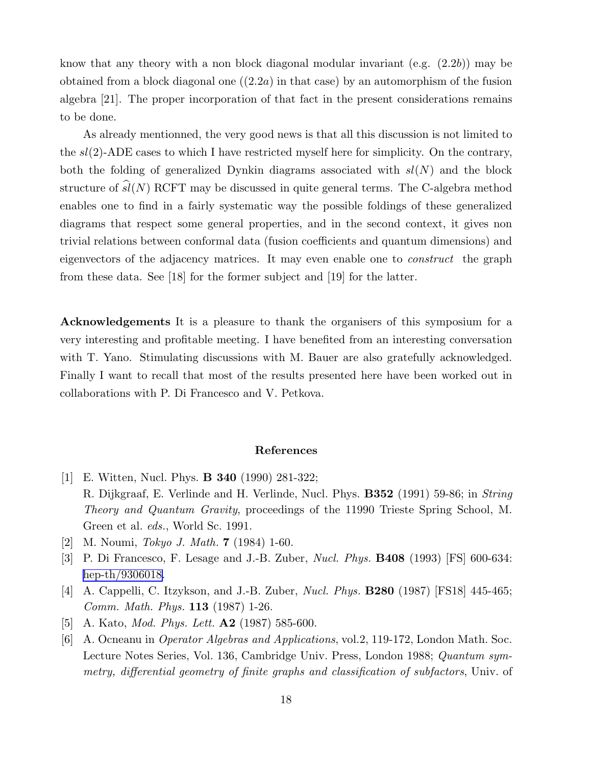know that any theory with a non block diagonal modular invariant  $(e.g. (2.2b))$  may be obtained from a block diagonal one  $((2.2a)$  in that case) by an automorphism of the fusion algebra [21]. The proper incorporation of that fact in the present considerations remains to be done.

As already mentionned, the very good news is that all this discussion is not limited to the  $sl(2)$ -ADE cases to which I have restricted myself here for simplicity. On the contrary, both the folding of generalized Dynkin diagrams associated with  $sl(N)$  and the block structure of  $\hat{sl}(N)$  RCFT may be discussed in quite general terms. The C-algebra method enables one to find in a fairly systematic way the possible foldings of these generalized diagrams that respect some general properties, and in the second context, it gives non trivial relations between conformal data (fusion coefficients and quantum dimensions) and eigenvectors of the adjacency matrices. It may even enable one to construct the graph from these data. See [18] for the former subject and [19] for the latter.

Acknowledgements It is a pleasure to thank the organisers of this symposium for a very interesting and profitable meeting. I have benefited from an interesting conversation with T. Yano. Stimulating discussions with M. Bauer are also gratefully acknowledged. Finally I want to recall that most of the results presented here have been worked out in collaborations with P. Di Francesco and V. Petkova.

## References

- [1] E. Witten, Nucl. Phys. B 340 (1990) 281-322; R. Dijkgraaf, E. Verlinde and H. Verlinde, Nucl. Phys. B352 (1991) 59-86; in String Theory and Quantum Gravity, proceedings of the 11990 Trieste Spring School, M. Green et al. eds., World Sc. 1991.
- [2] M. Noumi, Tokyo J. Math. 7 (1984) 1-60.
- [3] P. Di Francesco, F. Lesage and J.-B. Zuber, Nucl. Phys. B408 (1993) [FS] 600-634: [hep-th/9306018.](http://arxiv.org/abs/hep-th/9306018)
- [4] A. Cappelli, C. Itzykson, and J.-B. Zuber, Nucl. Phys. B280 (1987) [FS18] 445-465; Comm. Math. Phys. 113 (1987) 1-26.
- [5] A. Kato, *Mod. Phys. Lett.* **A2** (1987) 585-600.
- [6] A. Ocneanu in Operator Algebras and Applications, vol.2, 119-172, London Math. Soc. Lecture Notes Series, Vol. 136, Cambridge Univ. Press, London 1988; Quantum symmetry, differential geometry of finite graphs and classification of subfactors, Univ. of